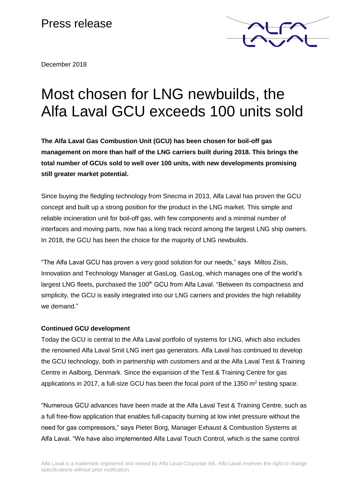# Press release



December 2018

# Most chosen for LNG newbuilds, the Alfa Laval GCU exceeds 100 units sold

**The Alfa Laval Gas Combustion Unit (GCU) has been chosen for boil-off gas management on more than half of the LNG carriers built during 2018. This brings the total number of GCUs sold to well over 100 units, with new developments promising still greater market potential.**

Since buying the fledgling technology from Snecma in 2013, Alfa Laval has proven the GCU concept and built up a strong position for the product in the LNG market. This simple and reliable incineration unit for boil-off gas, with few components and a minimal number of interfaces and moving parts, now has a long track record among the largest LNG ship owners. In 2018, the GCU has been the choice for the majority of LNG newbuilds.

"The Alfa Laval GCU has proven a very good solution for our needs," says Miltos Zisis, Innovation and Technology Manager at GasLog. GasLog, which manages one of the world's largest LNG fleets, purchased the 100<sup>th</sup> GCU from Alfa Laval. "Between its compactness and simplicity, the GCU is easily integrated into our LNG carriers and provides the high reliability we demand."

## **Continued GCU development**

Today the GCU is central to the Alfa Laval portfolio of systems for LNG, which also includes the renowned Alfa Laval Smit LNG inert gas generators. Alfa Laval has continued to develop the GCU technology, both in partnership with customers and at the Alfa Laval Test & Training Centre in Aalborg, Denmark. Since the expansion of the Test & Training Centre for gas applications in 2017, a full-size GCU has been the focal point of the 1350 m<sup>2</sup> testing space.

"Numerous GCU advances have been made at the Alfa Laval Test & Training Centre, such as a full free-flow application that enables full-capacity burning at low inlet pressure without the need for gas compressors," says Pieter Borg, Manager Exhaust & Combustion Systems at Alfa Laval. "We have also implemented Alfa Laval Touch Control, which is the same control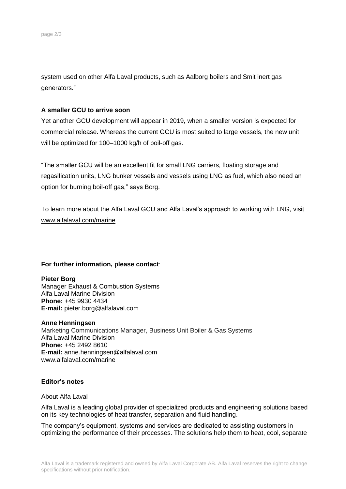system used on other Alfa Laval products, such as Aalborg boilers and Smit inert gas generators."

### **A smaller GCU to arrive soon**

Yet another GCU development will appear in 2019, when a smaller version is expected for commercial release. Whereas the current GCU is most suited to large vessels, the new unit will be optimized for 100–1000 kg/h of boil-off gas.

"The smaller GCU will be an excellent fit for small LNG carriers, floating storage and regasification units, LNG bunker vessels and vessels using LNG as fuel, which also need an option for burning boil-off gas," says Borg.

To learn more about the Alfa Laval GCU and Alfa Laval's approach to working with LNG, visit www.alfalaval.com/marine

#### **For further information, please contact**:

#### **Pieter Borg**

Manager Exhaust & Combustion Systems Alfa Laval Marine Division **Phone:** +45 9930 4434 **E-mail:** pieter.borg@alfalaval.com

#### **Anne Henningsen**

Marketing Communications Manager, Business Unit Boiler & Gas Systems Alfa Laval Marine Division **Phone:** +45 2492 8610 **E-mail:** anne.henningsen@alfalaval.com www.alfalaval.com/marine

#### **Editor's notes**

#### About Alfa Laval

Alfa Laval is a leading global provider of specialized products and engineering solutions based on its key technologies of heat transfer, separation and fluid handling.

The company's equipment, systems and services are dedicated to assisting customers in optimizing the performance of their processes. The solutions help them to heat, cool, separate